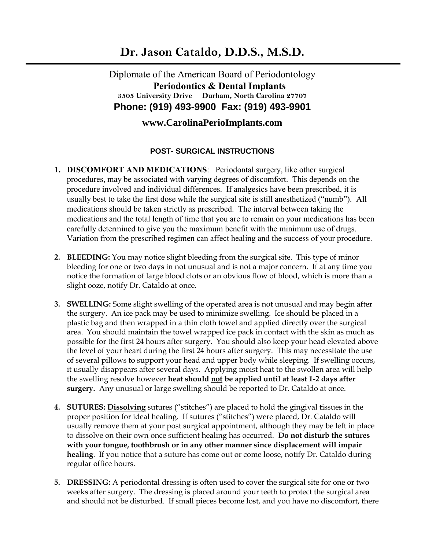## **Dr. Jason Cataldo, D.D.S., M.S.D.**

Diplomate of the American Board of Periodontology  **Periodontics & Dental Implants 3505 University Drive Durham, North Carolina 27707 Phone: (919) 493-9900 Fax: (919) 493-9901**

## **www.CarolinaPerioImplants.com**

## **POST- SURGICAL INSTRUCTIONS**

- **1. DISCOMFORT AND MEDICATIONS**: Periodontal surgery, like other surgical procedures, may be associated with varying degrees of discomfort. This depends on the procedure involved and individual differences. If analgesics have been prescribed, it is usually best to take the first dose while the surgical site is still anesthetized ("numb"). All medications should be taken strictly as prescribed. The interval between taking the medications and the total length of time that you are to remain on your medications has been carefully determined to give you the maximum benefit with the minimum use of drugs. Variation from the prescribed regimen can affect healing and the success of your procedure.
- **2. BLEEDING:** You may notice slight bleeding from the surgical site. This type of minor bleeding for one or two days in not unusual and is not a major concern. If at any time you notice the formation of large blood clots or an obvious flow of blood, which is more than a slight ooze, notify Dr. Cataldo at once.
- **3. SWELLING:** Some slight swelling of the operated area is not unusual and may begin after the surgery. An ice pack may be used to minimize swelling. Ice should be placed in a plastic bag and then wrapped in a thin cloth towel and applied directly over the surgical area. You should maintain the towel wrapped ice pack in contact with the skin as much as possible for the first 24 hours after surgery. You should also keep your head elevated above the level of your heart during the first 24 hours after surgery. This may necessitate the use of several pillows to support your head and upper body while sleeping.If swelling occurs, it usually disappears after several days. Applying moist heat to the swollen area will help the swelling resolve however **heat should not be applied until at least 1-2 days after surgery.** Any unusual or large swelling should be reported to Dr. Cataldo at once.
- **4. SUTURES: Dissolving** sutures ("stitches") are placed to hold the gingival tissues in the proper position for ideal healing. If sutures ("stitches") were placed, Dr. Cataldo will usually remove them at your post surgical appointment, although they may be left in place to dissolve on their own once sufficient healing has occurred. **Do not disturb the sutures with your tongue, toothbrush or in any other manner since displacement will impair healing**. If you notice that a suture has come out or come loose, notify Dr. Cataldo during regular office hours.
- **5. DRESSING:** A periodontal dressing is often used to cover the surgical site for one or two weeks after surgery. The dressing is placed around your teeth to protect the surgical area and should not be disturbed. If small pieces become lost, and you have no discomfort, there